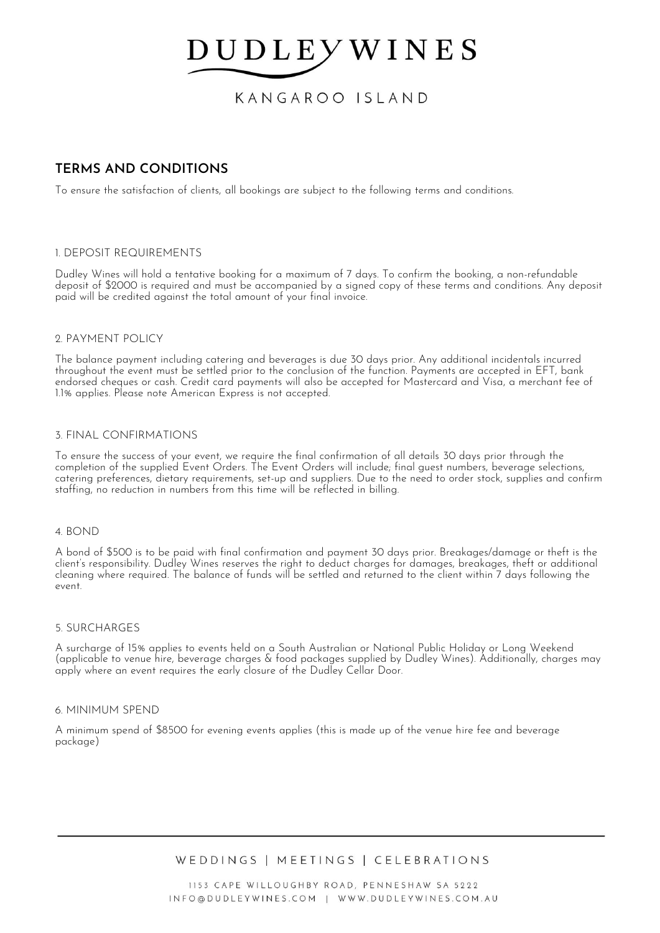KANGAROO ISLAND

# **TERMS AND CONDITIONS**

To ensure the satisfaction of clients, all bookings are subject to the following terms and conditions.

## 1. DEPOSIT REQUIREMENTS

Dudley Wines will hold a tentative booking for a maximum of 7 days. To confirm the booking, a non-refundable deposit of \$2000 is required and must be accompanied by a signed copy of these terms and conditions. Any deposit paid will be credited against the total amount of your final invoice.

## 2. PAYMENT POLICY

The balance payment including catering and beverages is due 30 days prior. Any additional incidentals incurred throughout the event must be settled prior to the conclusion of the function. Payments are accepted in EFT, bank endorsed cheques or cash. Credit card payments will also be accepted for Mastercard and Visa, a merchant fee of 1.1% applies. Please note American Express is not accepted.

## 3. FINAL CONFIRMATIONS

To ensure the success of your event, we require the final confirmation of all details 30 days prior through the completion of the supplied Event Orders. The Event Orders will include; final guest numbers, beverage selections, catering preferences, dietary requirements, set-up and suppliers. Due to the need to order stock, supplies and confirm staffing, no reduction in numbers from this time will be reflected in billing.

## 4. BOND

A bond of \$500 is to be paid with final confirmation and payment 30 days prior. Breakages/damage or theft is the client's responsibility. Dudley Wines reserves the right to deduct charges for damages, breakages, theft or additional cleaning where required. The balance of funds will be settled and returned to the client within 7 days following the event.

## 5. SURCHARGES

A surcharge of 15% applies to events held on a South Australian or National Public Holiday or Long Weekend (applicable to venue hire, beverage charges & food packages supplied by Dudley Wines). Additionally, charges may apply where an event requires the early closure of the Dudley Cellar Door.

## 6. MINIMUM SPEND

A minimum spend of \$8500 for evening events applies (this is made up of the venue hire fee and beverage package)

WEDDINGS | MEETINGS | CELEBRATIONS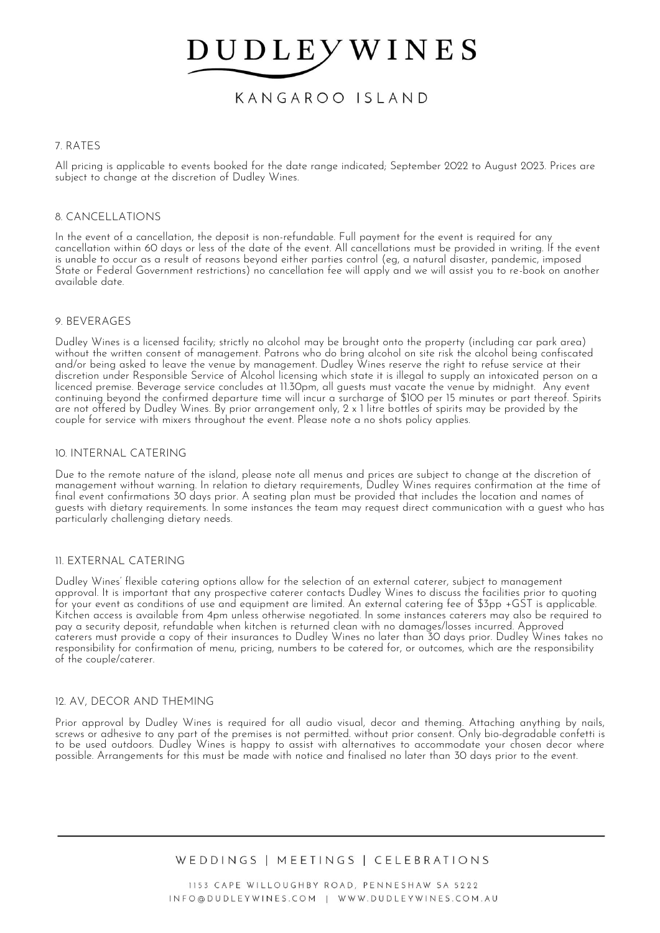KANGAROO ISLAND

## 7. RATES

All pricing is applicable to events booked for the date range indicated; September 2022 to August 2023. Prices are subject to change at the discretion of Dudley Wines.

## 8. CANCELLATIONS

In the event of a cancellation, the deposit is non-refundable. Full payment for the event is required for any cancellation within 60 days or less of the date of the event. All cancellations must be provided in writing. If the event is unable to occur as a result of reasons beyond either parties control (eg, a natural disaster, pandemic, imposed State or Federal Government restrictions) no cancellation fee will apply and we will assist you to re-book on another available date.

## 9. BEVERAGES

Dudley Wines is a licensed facility; strictly no alcohol may be brought onto the property (including car park area) without the written consent of management. Patrons who do bring alcohol on site risk the alcohol being confiscated and/or being asked to leave the venue by management. Dudley Wines reserve the right to refuse service at their discretion under Responsible Service of Alcohol licensing which state it is illegal to supply an intoxicated person on a licenced premise. Beverage service concludes at 11.30pm, all guests must vacate the venue by midnight. Any event continuing beyond the confirmed departure time will incur a surcharge of \$100 per 15 minutes or part thereof. Spirits are not offered by Dudley Wines. By prior arrangement only, 2 x 1 litre bottles of spirits may be provided by the couple for service with mixers throughout the event. Please note a no shots policy applies.

## 10. INTERNAL CATERING

Due to the remote nature of the island, please note all menus and prices are subject to change at the discretion of management without warning. In relation to dietary requirements, Dudley Wines requires confirmation at the time of final event confirmations 30 days prior. A seating plan must be provided that includes the location and names of guests with dietary requirements. In some instances the team may request direct communication with a guest who has particularly challenging dietary needs.

## 11. EXTERNAL CATERING

Dudley Wines' flexible catering options allow for the selection of an external caterer, subject to management approval. It is important that any prospective caterer contacts Dudley Wines to discuss the facilities prior to quoting for your event as conditions of use and equipment are limited. An external catering fee of \$3pp +GST is applicable. Kitchen access is available from 4pm unless otherwise negotiated. In some instances caterers may also be required to pay a security deposit, refundable when kitchen is returned clean with no damages/losses incurred. Approved caterers must provide a copy of their insurances to Dudley Wines no later than 30 days prior. Dudley Wines takes no responsibility for confirmation of menu, pricing, numbers to be catered for, or outcomes, which are the responsibility of the couple/caterer.

## 12. AV, DECOR AND THEMING

Prior approval by Dudley Wines is required for all audio visual, decor and theming. Attaching anything by nails, screws or adhesive to any part of the premises is not permitted. without prior consent. Only bio-degradable confetti is to be used outdoors. Dudley Wines is happy to assist with alternatives to accommodate your chosen decor where possible. Arrangements for this must be made with notice and finalised no later than 30 days prior to the event.

# WEDDINGS | MEETINGS | CELEBRATIONS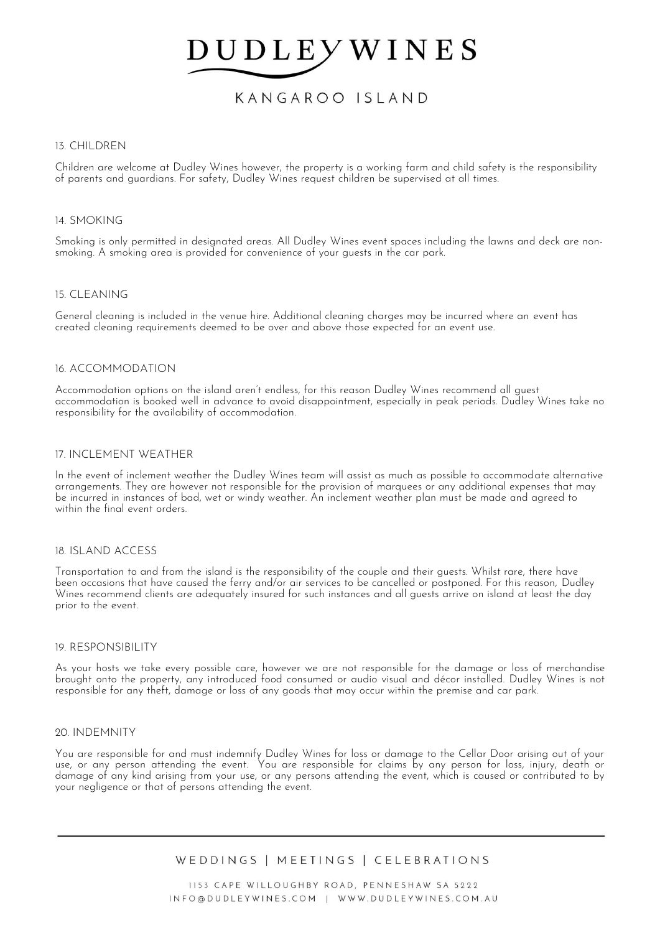# KANGAROO ISLAND

## 13. CHILDREN

Children are welcome at Dudley Wines however, the property is a working farm and child safety is the responsibility of parents and guardians. For safety, Dudley Wines request children be supervised at all times.

### 14. SMOKING

Smoking is only permitted in designated areas. All Dudley Wines event spaces including the lawns and deck are nonsmoking. A smoking area is provided for convenience of your guests in the car park.

### 15. CLEANING

General cleaning is included in the venue hire. Additional cleaning charges may be incurred where an event has created cleaning requirements deemed to be over and above those expected for an event use.

### 16. ACCOMMODATION

Accommodation options on the island aren't endless, for this reason Dudley Wines recommend all guest accommodation is booked well in advance to avoid disappointment, especially in peak periods. Dudley Wines take no responsibility for the availability of accommodation.

### 17. INCLEMENT WEATHER

In the event of inclement weather the Dudley Wines team will assist as much as possible to accommodate alternative arrangements. They are however not responsible for the provision of marquees or any additional expenses that may be incurred in instances of bad, wet or windy weather. An inclement weather plan must be made and agreed to within the final event orders.

### 18. ISLAND ACCESS

Transportation to and from the island is the responsibility of the couple and their guests. Whilst rare, there have been occasions that have caused the ferry and/or air services to be cancelled or postponed. For this reason, Dudley Wines recommend clients are adequately insured for such instances and all quests arrive on island at least the day prior to the event.

### 19. RESPONSIBILITY

As your hosts we take every possible care, however we are not responsible for the damage or loss of merchandise brought onto the property, any introduced food consumed or audio visual and décor installed. Dudley Wines is not responsible for any theft, damage or loss of any goods that may occur within the premise and car park.

### 20. INDEMNITY

You are responsible for and must indemnify Dudley Wines for loss or damage to the Cellar Door arising out of your use, or any person attending the event. You are responsible for claims by any person for loss, injury, death or damage of any kind arising from your use, or any persons attending the event, which is caused or contributed to by your negligence or that of persons attending the event.

WEDDINGS | MEETINGS | CELEBRATIONS